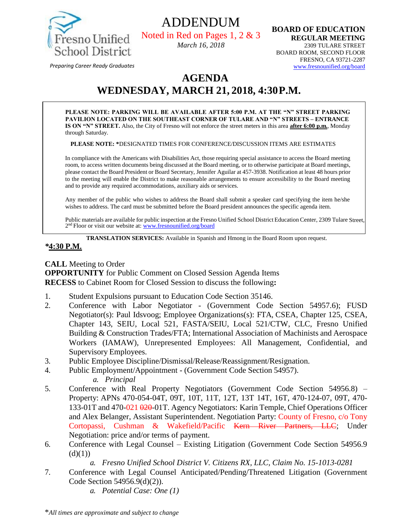

ADDENDUM Noted in Red on Pages 1, 2 & 3 *March 16, 2018*

**BOARD OF EDUCATION REGULAR MEETING**  2309 TULARE STREET BOARD ROOM, SECOND FLOOR FRESNO, CA 93721-2287 [www.fresnounified.org/board](http://www.fresnounified.org/board)

*Preparing Career Ready Graduates*

# **AGENDA WEDNESDAY, MARCH 21, 2018, 4:30P.M.**

**PLEASE NOTE: PARKING WILL BE AVAILABLE AFTER 5:00 P.M. AT THE "N" STREET PARKING PAVILION LOCATED ON THE SOUTHEAST CORNER OF TULARE AND "N" STREETS – ENTRANCE IS ON "N" STREET.** Also, the City of Fresno will not enforce the street meters in this area **after 6:00 p.m.**, Monday through Saturday.

**PLEASE NOTE: \***DESIGNATED TIMES FOR CONFERENCE/DISCUSSION ITEMS ARE ESTIMATES

In compliance with the Americans with Disabilities Act, those requiring special assistance to access the Board meeting room, to access written documents being discussed at the Board meeting, or to otherwise participate at Board meetings, please contact the Board President or Board Secretary, Jennifer Aguilar at 457-3938. Notification at least 48 hours prior to the meeting will enable the District to make reasonable arrangements to ensure accessibility to the Board meeting and to provide any required accommodations, auxiliary aids or services.

Any member of the public who wishes to address the Board shall submit a speaker card specifying the item he/she wishes to address. The card must be submitted before the Board president announces the specific agenda item.

Public materials are available for public inspection at the Fresno Unified School District Education Center, 2309 Tulare Street, 2<sup>nd</sup> Floor or visit our website at: **[www.fresnounified.org/board](http://www.fresnounified.org/board)** 

**TRANSLATION SERVICES:** Available in Spanish and Hmong in the Board Room upon request.

### *\****4:30 P.M.**

**CALL** Meeting to Order **OPPORTUNITY** for Public Comment on Closed Session Agenda Items **RECESS** to Cabinet Room for Closed Session to discuss the following**:**

- 1. Student Expulsions pursuant to Education Code Section 35146.
- 2. Conference with Labor Negotiator (Government Code Section 54957.6); FUSD Negotiator(s): Paul Idsvoog; Employee Organizations(s): FTA, CSEA, Chapter 125, CSEA, Chapter 143, SEIU, Local 521, FASTA/SEIU, Local 521/CTW, CLC, Fresno Unified Building & Construction Trades/FTA; International Association of Machinists and Aerospace Workers (IAMAW), Unrepresented Employees: All Management, Confidential, and Supervisory Employees.
- 3. Public Employee Discipline/Dismissal/Release/Reassignment/Resignation.
- 4. Public Employment/Appointment (Government Code Section 54957). *a. Principal*
- 5. Conference with Real Property Negotiators (Government Code Section 54956.8) Property: APNs 470-054-04T, 09T, 10T, 11T, 12T, 13T 14T, 16T, 470-124-07, 09T, 470- 133-01T and 470-021 020-01T. Agency Negotiators: Karin Temple, Chief Operations Officer and Alex Belanger, Assistant Superintendent. Negotiation Party: County of Fresno, c/o Tony Cortopassi, Cushman & Wakefield/Pacific Kern River Partners, LLC; Under Negotiation: price and/or terms of payment.
- 6. Conference with Legal Counsel Existing Litigation (Government Code Section 54956.9  $(d)(1))$

*a. Fresno Unified School District V. Citizens RX, LLC, Claim No. 15-1013-0281*

- 7. Conference with Legal Counsel Anticipated/Pending/Threatened Litigation (Government Code Section 54956.9(d)(2)).
	- *a. Potential Case: One (1)*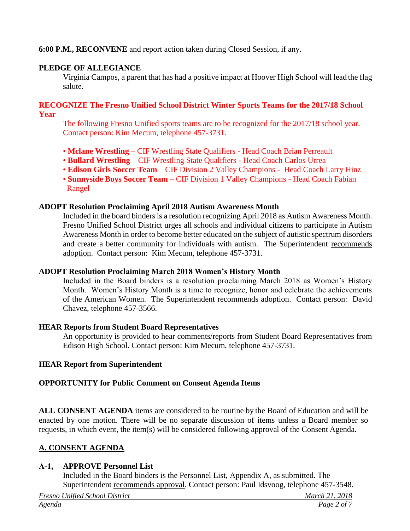# **6:00 P.M., RECONVENE** and report action taken during Closed Session, if any.

# **PLEDGE OF ALLEGIANCE**

Virginia Campos, a parent that has had a positive impact at Hoover High School will lead the flag salute.

#### **RECOGNIZE The Fresno Unified School District Winter Sports Teams for the 2017/18 School Year**

The following Fresno Unified sports teams are to be recognized for the 2017/18 school year. Contact person: Kim Mecum, telephone 457-3731.

- **Mclane Wrestling** CIF Wrestling State Qualifiers Head Coach Brian Perreault
- **Bullard Wrestling** CIF Wrestling State Qualifiers Head Coach Carlos Urrea
- **Edison Girls Soccer Team** CIF Division 2 Valley Champions Head Coach Larry Hinz
- **Sunnyside Boys Soccer Team** CIF Division 1 Valley Champions Head Coach Fabian Rangel

### **ADOPT Resolution Proclaiming April 2018 Autism Awareness Month**

Included in the board binders is a resolution recognizing April 2018 as Autism Awareness Month. Fresno Unified School District urges all schools and individual citizens to participate in Autism Awareness Month in order to become better educated on the subject of autistic spectrum disorders and create a better community for individuals with autism. The Superintendent recommends adoption. Contact person: Kim Mecum, telephone 457-3731.

### **ADOPT Resolution Proclaiming March 2018 Women's History Month**

Included in the Board binders is a resolution proclaiming March 2018 as Women's History Month. Women's History Month is a time to recognize, honor and celebrate the achievements of the American Women. The Superintendent recommends adoption. Contact person: David Chavez, telephone 457-3566.

### **HEAR Reports from Student Board Representatives**

An opportunity is provided to hear comments/reports from Student Board Representatives from Edison High School. Contact person: Kim Mecum, telephone 457-3731.

# **HEAR Report from Superintendent**

# **OPPORTUNITY for Public Comment on Consent Agenda Items**

**ALL CONSENT AGENDA** items are considered to be routine by the Board of Education and will be enacted by one motion. There will be no separate discussion of items unless a Board member so requests, in which event, the item(s) will be considered following approval of the Consent Agenda.

# **A. CONSENT AGENDA**

# **A-1, APPROVE Personnel List**

Included in the Board binders is the Personnel List, Appendix A, as submitted. The Superintendent recommends approval. Contact person: Paul Idsvoog, telephone 457-3548.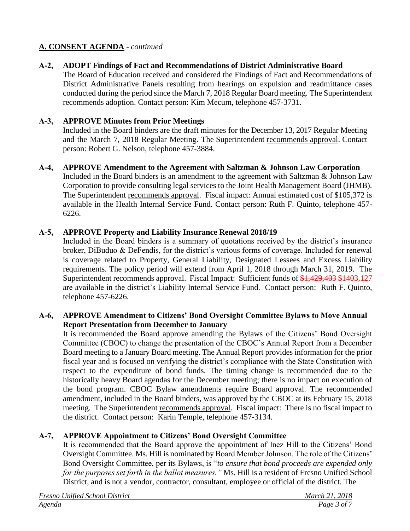# **A-2, ADOPT Findings of Fact and Recommendations of District Administrative Board**

The Board of Education received and considered the Findings of Fact and Recommendations of District Administrative Panels resulting from hearings on expulsion and readmittance cases conducted during the period since the March 7, 2018 Regular Board meeting. The Superintendent recommends adoption. Contact person: Kim Mecum, telephone 457-3731.

# **A-3, APPROVE Minutes from Prior Meetings**

Included in the Board binders are the draft minutes for the December 13, 2017 Regular Meeting and the March 7, 2018 Regular Meeting. The Superintendent recommends approval. Contact person: Robert G. Nelson, telephone 457-3884.

### **A-4, APPROVE Amendment to the Agreement with Saltzman & Johnson Law Corporation**

Included in the Board binders is an amendment to the agreement with Saltzman & Johnson Law Corporation to provide consulting legal services to the Joint Health Management Board (JHMB). The Superintendent recommends approval. Fiscal impact: Annual estimated cost of \$105,372 is available in the Health Internal Service Fund. Contact person: Ruth F. Quinto, telephone 457- 6226.

# **A-5, APPROVE Property and Liability Insurance Renewal 2018/19**

Included in the Board binders is a summary of quotations received by the district's insurance broker, DiBuduo & DeFendis, for the district's various forms of coverage. Included for renewal is coverage related to Property, General Liability, Designated Lessees and Excess Liability requirements. The policy period will extend from April 1, 2018 through March 31, 2019. The Superintendent recommends approval. Fiscal Impact: Sufficient funds of \$1,429,403 \$1403,127 are available in the district's Liability Internal Service Fund. Contact person: Ruth F. Quinto, telephone 457-6226.

# **A-6, APPROVE Amendment to Citizens' Bond Oversight Committee Bylaws to Move Annual Report Presentation from December to January**

It is recommended the Board approve amending the Bylaws of the Citizens' Bond Oversight Committee (CBOC) to change the presentation of the CBOC's Annual Report from a December Board meeting to a January Board meeting. The Annual Report provides information for the prior fiscal year and is focused on verifying the district's compliance with the State Constitution with respect to the expenditure of bond funds. The timing change is recommended due to the historically heavy Board agendas for the December meeting; there is no impact on execution of the bond program. CBOC Bylaw amendments require Board approval. The recommended amendment, included in the Board binders, was approved by the CBOC at its February 15, 2018 meeting. The Superintendent recommends approval. Fiscal impact: There is no fiscal impact to the district. Contact person: Karin Temple, telephone 457-3134.

# **A-7, APPROVE Appointment to Citizens' Bond Oversight Committee**

It is recommended that the Board approve the appointment of Inez Hill to the Citizens' Bond Oversight Committee. Ms. Hill is nominated by Board Member Johnson. The role of the Citizens' Bond Oversight Committee, per its Bylaws, is "*to ensure that bond proceeds are expended only for the purposes set forth in the ballot measures."* Ms. Hill is a resident of Fresno Unified School District, and is not a vendor, contractor, consultant, employee or official of the district. The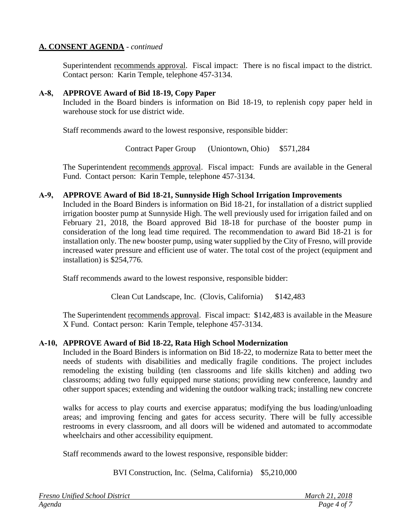Superintendent recommends approval. Fiscal impact: There is no fiscal impact to the district. Contact person: Karin Temple, telephone 457-3134.

### **A-8, APPROVE Award of Bid 18-19, Copy Paper**

Included in the Board binders is information on Bid 18-19, to replenish copy paper held in warehouse stock for use district wide.

Staff recommends award to the lowest responsive, responsible bidder:

Contract Paper Group (Uniontown, Ohio) \$571,284

The Superintendent recommends approval. Fiscal impact:Funds are available in the General Fund. Contact person: Karin Temple, telephone 457-3134.

#### **A-9, APPROVE Award of Bid 18-21, Sunnyside High School Irrigation Improvements**

Included in the Board Binders is information on Bid 18-21, for installation of a district supplied irrigation booster pump at Sunnyside High. The well previously used for irrigation failed and on February 21, 2018, the Board approved Bid 18-18 for purchase of the booster pump in consideration of the long lead time required. The recommendation to award Bid 18-21 is for installation only. The new booster pump, using water supplied by the City of Fresno, will provide increased water pressure and efficient use of water. The total cost of the project (equipment and installation) is \$254,776.

Staff recommends award to the lowest responsive, responsible bidder:

Clean Cut Landscape, Inc. (Clovis, California) \$142,483

The Superintendent recommends approval. Fiscal impact:\$142,483 is available in the Measure X Fund. Contact person: Karin Temple, telephone 457-3134.

### **A-10, APPROVE Award of Bid 18-22, Rata High School Modernization**

Included in the Board Binders is information on Bid 18-22, to modernize Rata to better meet the needs of students with disabilities and medically fragile conditions. The project includes remodeling the existing building (ten classrooms and life skills kitchen) and adding two classrooms; adding two fully equipped nurse stations; providing new conference, laundry and other support spaces; extending and widening the outdoor walking track; installing new concrete

walks for access to play courts and exercise apparatus; modifying the bus loading/unloading areas; and improving fencing and gates for access security. There will be fully accessible restrooms in every classroom, and all doors will be widened and automated to accommodate wheelchairs and other accessibility equipment.

Staff recommends award to the lowest responsive, responsible bidder:

BVI Construction, Inc. (Selma, California) \$5,210,000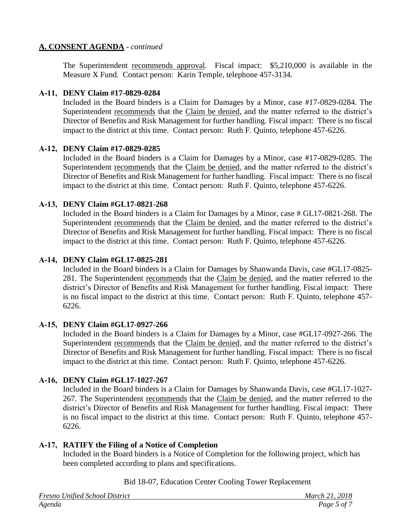The Superintendent recommends approval. Fiscal impact:\$5,210,000 is available in the Measure X Fund. Contact person: Karin Temple, telephone 457-3134.

### **A-11, DENY Claim #17-0829-0284**

Included in the Board binders is a Claim for Damages by a Minor, case #17-0829-0284. The Superintendent recommends that the Claim be denied, and the matter referred to the district's Director of Benefits and Risk Management for further handling. Fiscal impact: There is no fiscal impact to the district at this time. Contact person: Ruth F. Quinto, telephone 457-6226.

#### **A-12, DENY Claim #17-0829-0285**

Included in the Board binders is a Claim for Damages by a Minor, case #17-0829-0285. The Superintendent recommends that the Claim be denied, and the matter referred to the district's Director of Benefits and Risk Management for further handling. Fiscal impact: There is no fiscal impact to the district at this time. Contact person: Ruth F. Quinto, telephone 457-6226.

### **A-13, DENY Claim #GL17-0821-268**

Included in the Board binders is a Claim for Damages by a Minor, case # GL17-0821-268. The Superintendent recommends that the Claim be denied, and the matter referred to the district's Director of Benefits and Risk Management for further handling. Fiscal impact: There is no fiscal impact to the district at this time. Contact person: Ruth F. Quinto, telephone 457-6226.

### **A-14, DENY Claim #GL17-0825-281**

Included in the Board binders is a Claim for Damages by Shanwanda Davis, case #GL17-0825- 281. The Superintendent recommends that the Claim be denied, and the matter referred to the district's Director of Benefits and Risk Management for further handling. Fiscal impact: There is no fiscal impact to the district at this time. Contact person: Ruth F. Quinto, telephone 457- 6226.

### **A-15, DENY Claim #GL17-0927-266**

Included in the Board binders is a Claim for Damages by a Minor, case #GL17-0927-266. The Superintendent recommends that the Claim be denied, and the matter referred to the district's Director of Benefits and Risk Management for further handling. Fiscal impact: There is no fiscal impact to the district at this time. Contact person: Ruth F. Quinto, telephone 457-6226.

# **A-16, DENY Claim #GL17-1027-267**

Included in the Board binders is a Claim for Damages by Shanwanda Davis, case #GL17-1027- 267. The Superintendent recommends that the Claim be denied, and the matter referred to the district's Director of Benefits and Risk Management for further handling. Fiscal impact: There is no fiscal impact to the district at this time. Contact person: Ruth F. Quinto, telephone 457- 6226.

### **A-17, RATIFY the Filing of a Notice of Completion**

Included in the Board binders is a Notice of Completion for the following project, which has been completed according to plans and specifications.

### Bid 18-07, Education Center Cooling Tower Replacement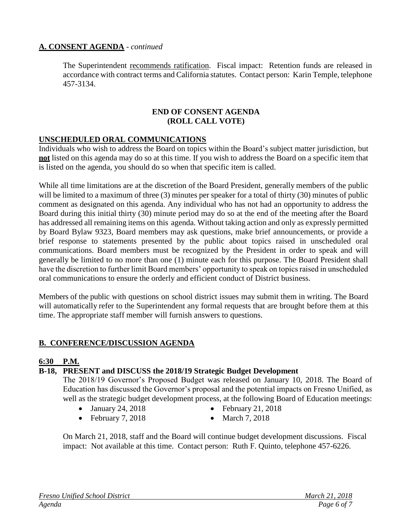The Superintendent recommends ratification. Fiscal impact:Retention funds are released in accordance with contract terms and California statutes. Contact person: Karin Temple, telephone 457-3134.

#### **END OF CONSENT AGENDA (ROLL CALL VOTE)**

### **UNSCHEDULED ORAL COMMUNICATIONS**

Individuals who wish to address the Board on topics within the Board's subject matter jurisdiction, but **not** listed on this agenda may do so at this time. If you wish to address the Board on a specific item that is listed on the agenda, you should do so when that specific item is called.

While all time limitations are at the discretion of the Board President, generally members of the public will be limited to a maximum of three (3) minutes per speaker for a total of thirty (30) minutes of public comment as designated on this agenda. Any individual who has not had an opportunity to address the Board during this initial thirty (30) minute period may do so at the end of the meeting after the Board has addressed all remaining items on this agenda. Without taking action and only as expressly permitted by Board Bylaw 9323, Board members may ask questions, make brief announcements, or provide a brief response to statements presented by the public about topics raised in unscheduled oral communications. Board members must be recognized by the President in order to speak and will generally be limited to no more than one (1) minute each for this purpose. The Board President shall have the discretion to further limit Board members' opportunity to speak on topics raised in unscheduled oral communications to ensure the orderly and efficient conduct of District business.

Members of the public with questions on school district issues may submit them in writing. The Board will automatically refer to the Superintendent any formal requests that are brought before them at this time. The appropriate staff member will furnish answers to questions.

### **B. CONFERENCE/DISCUSSION AGENDA**

### **6:30 P.M.**

# **B-18, PRESENT and DISCUSS the 2018/19 Strategic Budget Development**

The 2018/19 Governor's Proposed Budget was released on January 10, 2018. The Board of Education has discussed the Governor's proposal and the potential impacts on Fresno Unified, as well as the strategic budget development process, at the following Board of Education meetings:

- January 24, 2018 February 21, 2018
- 
- February 7, 2018 March 7, 2018
- 

On March 21, 2018, staff and the Board will continue budget development discussions. Fiscal impact: Not available at this time. Contact person: Ruth F. Quinto, telephone 457-6226.